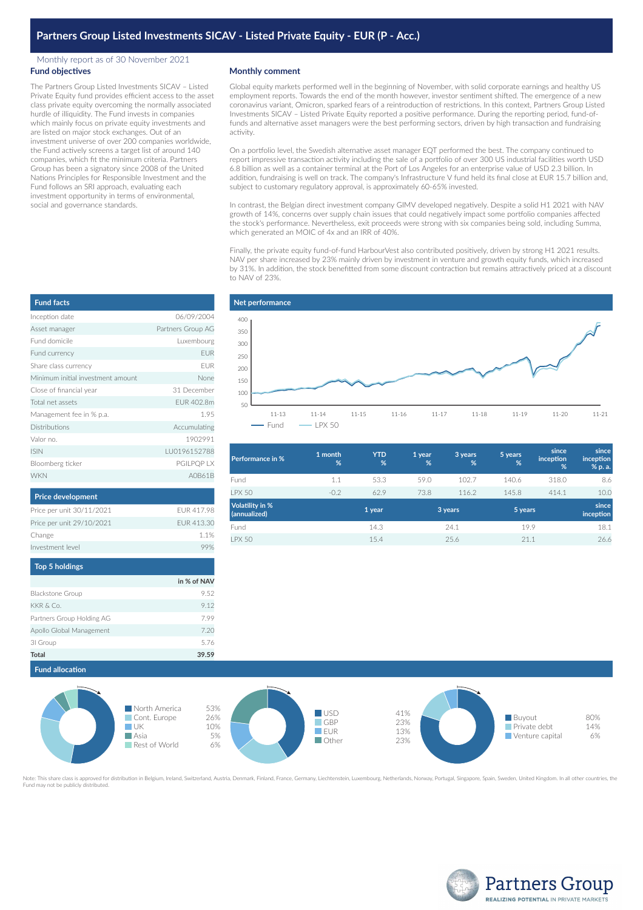## Monthly report as of 30 November 2021 **Fund objectives**

The Partners Group Listed Investments SICAV – Listed Private Equity fund provides efficient access to the asset class private equity overcoming the normally associated hurdle of illiquidity. The Fund invests in companies which mainly focus on private equity investments and are listed on major stock exchanges. Out of an investment universe of over 200 companies worldwide, the Fund actively screens a target list of around 140 companies, which fit the minimum criteria. Partners Group has been a signatory since 2008 of the United Nations Principles for Responsible Investment and the Fund follows an SRI approach, evaluating each investment opportunity in terms of environmental, social and governance standards.

## **Monthly comment**

Global equity markets performed well in the beginning of November, with solid corporate earnings and healthy US employment reports. Towards the end of the month however, investor sentiment shifted. The emergence of a new coronavirus variant, Omicron, sparked fears of a reintroduction of restrictions. In this context, Partners Group Listed Investments SICAV – Listed Private Equity reported a positive performance. During the reporting period, fund-offunds and alternative asset managers were the best performing sectors, driven by high transaction and fundraising activity.

On a portfolio level, the Swedish alternative asset manager EQT performed the best. The company continued to report impressive transaction activity including the sale of a portfolio of over 300 US industrial facilities worth USD 6.8 billion as well as a container terminal at the Port of Los Angeles for an enterprise value of USD 2.3 billion. In addition, fundraising is well on track. The company's Infrastructure V fund held its final close at EUR 15.7 billion and, subject to customary regulatory approval, is approximately 60-65% invested.

In contrast, the Belgian direct investment company GIMV developed negatively. Despite a solid H1 2021 with NAV growth of 14%, concerns over supply chain issues that could negatively impact some portfolio companies affected the stock's performance. Nevertheless, exit proceeds were strong with six companies being sold, including Summa, which generated an MOIC of 4x and an IRR of 40%.

Finally, the private equity fund-of-fund HarbourVest also contributed positively, driven by strong H1 2021 results. NAV per share increased by 23% mainly driven by investment in venture and growth equity funds, which increased by 31%. In addition, the stock benefitted from some discount contraction but remains attractively priced at a discount to NAV of 23%.



| <b>Performance in %</b>                | 1 month<br>% | <b>YTD</b><br>% | 1 year<br>% | 3 years<br>% | 5 years<br>% | since<br>inception<br>% | since<br>inception<br>% p. a. |
|----------------------------------------|--------------|-----------------|-------------|--------------|--------------|-------------------------|-------------------------------|
| Fund                                   | 1.1          | 53.3            | 59.0        | 102.7        | 140.6        | 318.0                   | 8.6                           |
| <b>I PX 50</b>                         | $-0.2$       | 62.9            | 73.8        | 116.2        | 145.8        | 414.1                   | 10.0                          |
| <b>Volatility in %</b><br>(annualized) |              | 1 year          |             | 3 years      | 5 years      |                         | since<br>inception            |
| Fund                                   |              | 14.3            |             | 24.1         | 19.9         |                         | 18.1                          |
| <b>LPX 50</b>                          |              | 15.4            |             | 25.6         | 21.1         |                         | 26.6                          |
|                                        |              |                 |             |              |              |                         |                               |

| <b>Fund facts</b>                 |                   |
|-----------------------------------|-------------------|
| Inception date                    | 06/09/2004        |
| Asset manager                     | Partners Group AG |
| Fund domicile                     | Luxembourg        |
| Fund currency                     | <b>EUR</b>        |
| Share class currency              | <b>FUR</b>        |
| Minimum initial investment amount | None              |
| Close of financial year           | 31 December       |
| Total net assets                  | FUR 402.8m        |
| Management fee in % p.a.          | 1.95              |
| Distributions                     | Accumulating      |
| Valor no.                         | 1902991           |
| <b>ISIN</b>                       | LU0196152788      |
| Bloomberg ticker                  | <b>PGILPOP LX</b> |
| <b>WKN</b>                        | A0B61B            |

| Price per unit 30/11/2021 | EUR 417.98  |
|---------------------------|-------------|
| Price per unit 29/10/2021 | FUR 413.30  |
| Change                    | 1.1%        |
| Investment level          | 99%         |
| <b>Top 5 holdings</b>     |             |
|                           | in % of NAV |
| <b>Blackstone Group</b>   |             |

| <b>Total</b>              | 39.59 |
|---------------------------|-------|
| 31 Group                  | 5.76  |
| Apollo Global Management  | 7.20  |
| Partners Group Holding AG | 7.99  |
| KKR & Co.                 | 9.12  |
| <b>Blackstone Group</b>   | 9.52  |



Note: This share class is approved for distribution in Belgium, Ireland, Switzerland, Austria, Denmark, Finland, France, Germany, Liechtenstein, Luxembourg, Netherlands, Norway, Portugal, Singapore, Spain, Sweden, United K Fund may not be publicly distributed.



| e of financial year   | 31 December  |
|-----------------------|--------------|
| I net assets          | EUR 402.8m   |
| agement fee in % p.a. | 1.95         |
| ributions             | Accumulating |
| r no.                 | 1902991      |
|                       | LU0196152788 |
| mberg ticker          | PGILPQP LX   |
| N                     | A0B61E       |
|                       |              |
|                       |              |

| <b>Price development</b>  |            |
|---------------------------|------------|
| Price per unit 30/11/2021 | EUR 417.98 |
| Price per unit 29/10/2021 | EUR 413.3  |
| Change                    | 1 1 9      |
| Investment level          | 99         |
|                           |            |

| p o nomigo            |             |
|-----------------------|-------------|
|                       | in % of NAV |
| kstone Group          | 9.52        |
| $8$ Co.               | 9.12        |
| ners Group Holding AG | 7.99        |
| llo Global Management | 7.20        |
| iroup                 | 5.76        |
| J.                    | 30.50       |